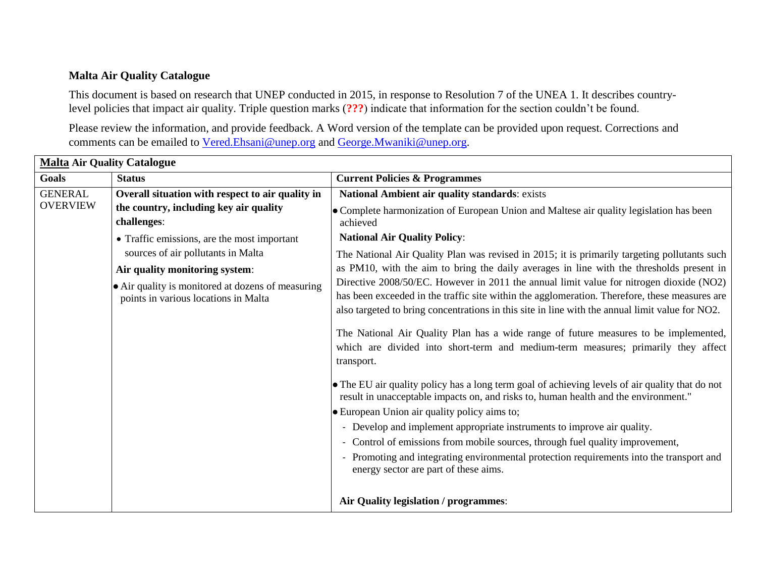## **Malta Air Quality Catalogue**

This document is based on research that UNEP conducted in 2015, in response to Resolution 7 of the UNEA 1. It describes countrylevel policies that impact air quality. Triple question marks (**???**) indicate that information for the section couldn't be found.

Please review the information, and provide feedback. A Word version of the template can be provided upon request. Corrections and comments can be emailed to [Vered.Ehsani@unep.org](mailto:Vered.Ehsani@unep.org) and [George.Mwaniki@unep.org.](mailto:George.Mwaniki@unep.org)

| <b>Malta Air Quality Catalogue</b> |                                                                                           |                                                                                                                                                                                                                                                                                             |
|------------------------------------|-------------------------------------------------------------------------------------------|---------------------------------------------------------------------------------------------------------------------------------------------------------------------------------------------------------------------------------------------------------------------------------------------|
| <b>Goals</b>                       | <b>Status</b>                                                                             | <b>Current Policies &amp; Programmes</b>                                                                                                                                                                                                                                                    |
| <b>GENERAL</b><br><b>OVERVIEW</b>  | Overall situation with respect to air quality in                                          | National Ambient air quality standards: exists                                                                                                                                                                                                                                              |
|                                    | the country, including key air quality<br>challenges:                                     | • Complete harmonization of European Union and Maltese air quality legislation has been<br>achieved                                                                                                                                                                                         |
|                                    | • Traffic emissions, are the most important                                               | <b>National Air Quality Policy:</b>                                                                                                                                                                                                                                                         |
|                                    | sources of air pollutants in Malta                                                        | The National Air Quality Plan was revised in 2015; it is primarily targeting pollutants such                                                                                                                                                                                                |
|                                    | Air quality monitoring system:                                                            | as PM10, with the aim to bring the daily averages in line with the thresholds present in                                                                                                                                                                                                    |
|                                    | • Air quality is monitored at dozens of measuring<br>points in various locations in Malta | Directive 2008/50/EC. However in 2011 the annual limit value for nitrogen dioxide (NO2)<br>has been exceeded in the traffic site within the agglomeration. Therefore, these measures are<br>also targeted to bring concentrations in this site in line with the annual limit value for NO2. |
|                                    |                                                                                           | The National Air Quality Plan has a wide range of future measures to be implemented,<br>which are divided into short-term and medium-term measures; primarily they affect<br>transport.                                                                                                     |
|                                    |                                                                                           | • The EU air quality policy has a long term goal of achieving levels of air quality that do not<br>result in unacceptable impacts on, and risks to, human health and the environment."                                                                                                      |
|                                    |                                                                                           | <b>European Union air quality policy aims to;</b>                                                                                                                                                                                                                                           |
|                                    |                                                                                           | - Develop and implement appropriate instruments to improve air quality.                                                                                                                                                                                                                     |
|                                    |                                                                                           | - Control of emissions from mobile sources, through fuel quality improvement,<br>- Promoting and integrating environmental protection requirements into the transport and<br>energy sector are part of these aims.                                                                          |
|                                    |                                                                                           | Air Quality legislation / programmes:                                                                                                                                                                                                                                                       |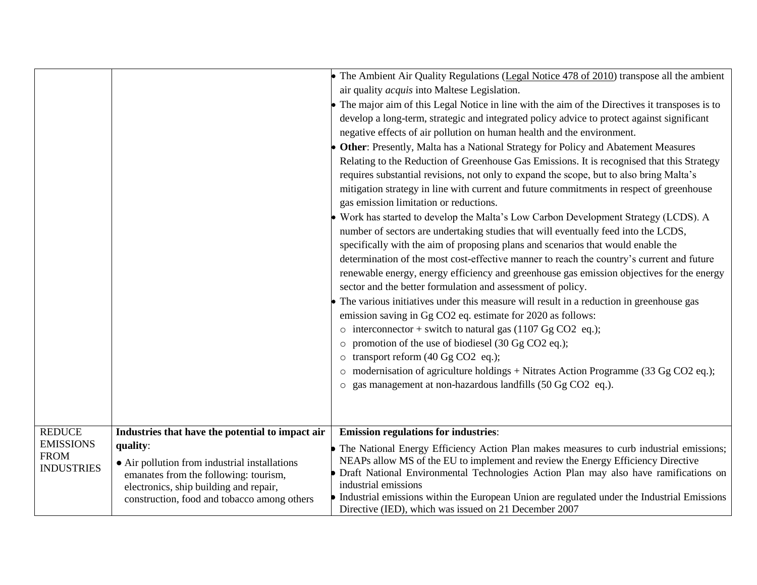|                                   |                                                                                                                                  | • The Ambient Air Quality Regulations (Legal Notice 478 of 2010) transpose all the ambient<br>air quality <i>acquis</i> into Maltese Legislation.<br>• The major aim of this Legal Notice in line with the aim of the Directives it transposes is to<br>develop a long-term, strategic and integrated policy advice to protect against significant<br>negative effects of air pollution on human health and the environment.<br>Other: Presently, Malta has a National Strategy for Policy and Abatement Measures<br>Relating to the Reduction of Greenhouse Gas Emissions. It is recognised that this Strategy<br>requires substantial revisions, not only to expand the scope, but to also bring Malta's<br>mitigation strategy in line with current and future commitments in respect of greenhouse<br>gas emission limitation or reductions.<br>Work has started to develop the Malta's Low Carbon Development Strategy (LCDS). A<br>number of sectors are undertaking studies that will eventually feed into the LCDS,<br>specifically with the aim of proposing plans and scenarios that would enable the<br>determination of the most cost-effective manner to reach the country's current and future<br>renewable energy, energy efficiency and greenhouse gas emission objectives for the energy<br>sector and the better formulation and assessment of policy.<br>The various initiatives under this measure will result in a reduction in greenhouse gas<br>emission saving in Gg CO2 eq. estimate for 2020 as follows:<br>$\circ$ interconnector + switch to natural gas (1107 Gg CO2 eq.);<br>$\circ$ promotion of the use of biodiesel (30 Gg CO2 eq.);<br>o transport reform (40 Gg CO2 eq.);<br>o modernisation of agriculture holdings + Nitrates Action Programme (33 Gg CO2 eq.); |
|-----------------------------------|----------------------------------------------------------------------------------------------------------------------------------|------------------------------------------------------------------------------------------------------------------------------------------------------------------------------------------------------------------------------------------------------------------------------------------------------------------------------------------------------------------------------------------------------------------------------------------------------------------------------------------------------------------------------------------------------------------------------------------------------------------------------------------------------------------------------------------------------------------------------------------------------------------------------------------------------------------------------------------------------------------------------------------------------------------------------------------------------------------------------------------------------------------------------------------------------------------------------------------------------------------------------------------------------------------------------------------------------------------------------------------------------------------------------------------------------------------------------------------------------------------------------------------------------------------------------------------------------------------------------------------------------------------------------------------------------------------------------------------------------------------------------------------------------------------------------------------------------------------------------------------------------------------------------------------------------|
|                                   |                                                                                                                                  | o gas management at non-hazardous landfills (50 Gg CO2 eq.).                                                                                                                                                                                                                                                                                                                                                                                                                                                                                                                                                                                                                                                                                                                                                                                                                                                                                                                                                                                                                                                                                                                                                                                                                                                                                                                                                                                                                                                                                                                                                                                                                                                                                                                                         |
|                                   |                                                                                                                                  |                                                                                                                                                                                                                                                                                                                                                                                                                                                                                                                                                                                                                                                                                                                                                                                                                                                                                                                                                                                                                                                                                                                                                                                                                                                                                                                                                                                                                                                                                                                                                                                                                                                                                                                                                                                                      |
| <b>REDUCE</b><br><b>EMISSIONS</b> | Industries that have the potential to impact air<br>quality:                                                                     | <b>Emission regulations for industries:</b>                                                                                                                                                                                                                                                                                                                                                                                                                                                                                                                                                                                                                                                                                                                                                                                                                                                                                                                                                                                                                                                                                                                                                                                                                                                                                                                                                                                                                                                                                                                                                                                                                                                                                                                                                          |
| <b>FROM</b><br><b>INDUSTRIES</b>  | • Air pollution from industrial installations<br>emanates from the following: tourism,<br>electronics, ship building and repair, | The National Energy Efficiency Action Plan makes measures to curb industrial emissions;<br>NEAPs allow MS of the EU to implement and review the Energy Efficiency Directive<br>Draft National Environmental Technologies Action Plan may also have ramifications on<br>industrial emissions                                                                                                                                                                                                                                                                                                                                                                                                                                                                                                                                                                                                                                                                                                                                                                                                                                                                                                                                                                                                                                                                                                                                                                                                                                                                                                                                                                                                                                                                                                          |
|                                   | construction, food and tobacco among others                                                                                      | Industrial emissions within the European Union are regulated under the Industrial Emissions<br>Directive (IED), which was issued on 21 December 2007                                                                                                                                                                                                                                                                                                                                                                                                                                                                                                                                                                                                                                                                                                                                                                                                                                                                                                                                                                                                                                                                                                                                                                                                                                                                                                                                                                                                                                                                                                                                                                                                                                                 |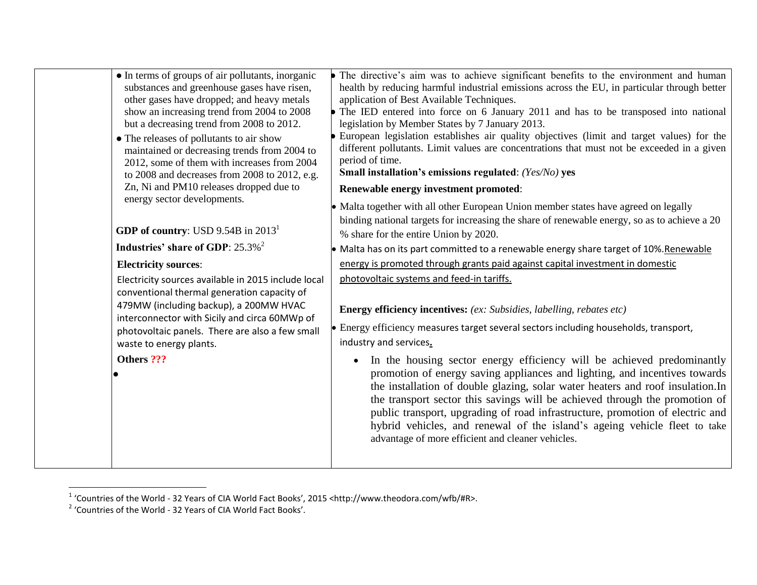| • In terms of groups of air pollutants, inorganic<br>substances and greenhouse gases have risen,<br>other gases have dropped; and heavy metals<br>show an increasing trend from 2004 to 2008<br>but a decreasing trend from 2008 to 2012.<br>• The releases of pollutants to air show<br>maintained or decreasing trends from 2004 to<br>2012, some of them with increases from 2004<br>to 2008 and decreases from 2008 to 2012, e.g.<br>Zn, Ni and PM10 releases dropped due to<br>energy sector developments.<br>GDP of country: USD $9.54B$ in $20131$<br>Industries' share of GDP: 25.3% <sup>2</sup><br><b>Electricity sources:</b><br>Electricity sources available in 2015 include local<br>conventional thermal generation capacity of<br>479MW (including backup), a 200MW HVAC<br>interconnector with Sicily and circa 60MWp of<br>photovoltaic panels. There are also a few small | • The directive's aim was to achieve significant benefits to the environment and human<br>health by reducing harmful industrial emissions across the EU, in particular through better<br>application of Best Available Techniques.<br>• The IED entered into force on 6 January 2011 and has to be transposed into national<br>legislation by Member States by 7 January 2013.<br>European legislation establishes air quality objectives (limit and target values) for the<br>different pollutants. Limit values are concentrations that must not be exceeded in a given<br>period of time.<br>Small installation's emissions regulated: (Yes/No) yes<br>Renewable energy investment promoted:<br>• Malta together with all other European Union member states have agreed on legally<br>binding national targets for increasing the share of renewable energy, so as to achieve a 20<br>% share for the entire Union by 2020.<br>• Malta has on its part committed to a renewable energy share target of 10%. Renewable<br>energy is promoted through grants paid against capital investment in domestic<br>photovoltaic systems and feed-in tariffs.<br><b>Energy efficiency incentives:</b> (ex: Subsidies, labelling, rebates etc)<br>• Energy efficiency measures target several sectors including households, transport, |
|----------------------------------------------------------------------------------------------------------------------------------------------------------------------------------------------------------------------------------------------------------------------------------------------------------------------------------------------------------------------------------------------------------------------------------------------------------------------------------------------------------------------------------------------------------------------------------------------------------------------------------------------------------------------------------------------------------------------------------------------------------------------------------------------------------------------------------------------------------------------------------------------|---------------------------------------------------------------------------------------------------------------------------------------------------------------------------------------------------------------------------------------------------------------------------------------------------------------------------------------------------------------------------------------------------------------------------------------------------------------------------------------------------------------------------------------------------------------------------------------------------------------------------------------------------------------------------------------------------------------------------------------------------------------------------------------------------------------------------------------------------------------------------------------------------------------------------------------------------------------------------------------------------------------------------------------------------------------------------------------------------------------------------------------------------------------------------------------------------------------------------------------------------------------------------------------------------------------------------------|
| waste to energy plants.                                                                                                                                                                                                                                                                                                                                                                                                                                                                                                                                                                                                                                                                                                                                                                                                                                                                      | industry and services.                                                                                                                                                                                                                                                                                                                                                                                                                                                                                                                                                                                                                                                                                                                                                                                                                                                                                                                                                                                                                                                                                                                                                                                                                                                                                                          |
| Others ???                                                                                                                                                                                                                                                                                                                                                                                                                                                                                                                                                                                                                                                                                                                                                                                                                                                                                   | In the housing sector energy efficiency will be achieved predominantly<br>promotion of energy saving appliances and lighting, and incentives towards<br>the installation of double glazing, solar water heaters and roof insulation.In<br>the transport sector this savings will be achieved through the promotion of<br>public transport, upgrading of road infrastructure, promotion of electric and<br>hybrid vehicles, and renewal of the island's ageing vehicle fleet to take<br>advantage of more efficient and cleaner vehicles.                                                                                                                                                                                                                                                                                                                                                                                                                                                                                                                                                                                                                                                                                                                                                                                        |

 1 'Countries of the World - 32 Years of CIA World Fact Books', 2015 <http://www.theodora.com/wfb/#R>. 2 'Countries of the World - 32 Years of CIA World Fact Books'.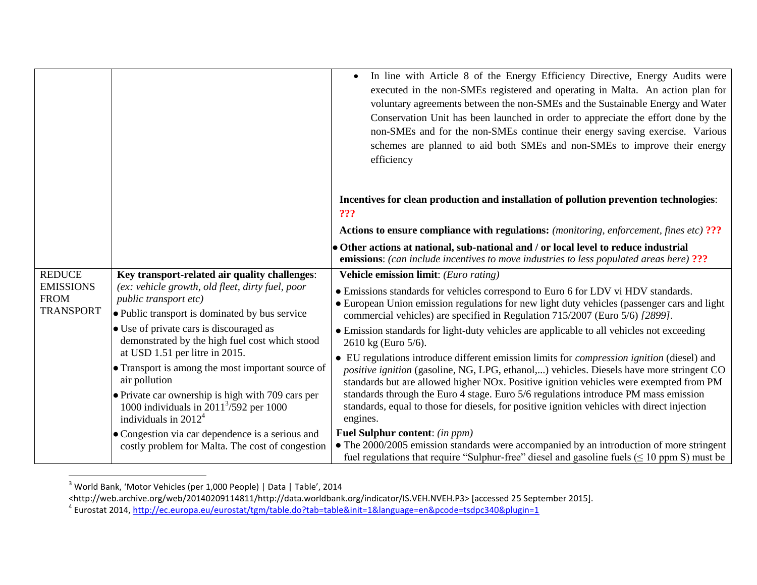|                                                     |                                                                                                                             | In line with Article 8 of the Energy Efficiency Directive, Energy Audits were<br>$\bullet$<br>executed in the non-SMEs registered and operating in Malta. An action plan for<br>voluntary agreements between the non-SMEs and the Sustainable Energy and Water<br>Conservation Unit has been launched in order to appreciate the effort done by the<br>non-SMEs and for the non-SMEs continue their energy saving exercise. Various<br>schemes are planned to aid both SMEs and non-SMEs to improve their energy<br>efficiency |
|-----------------------------------------------------|-----------------------------------------------------------------------------------------------------------------------------|--------------------------------------------------------------------------------------------------------------------------------------------------------------------------------------------------------------------------------------------------------------------------------------------------------------------------------------------------------------------------------------------------------------------------------------------------------------------------------------------------------------------------------|
|                                                     |                                                                                                                             | Incentives for clean production and installation of pollution prevention technologies:<br>???                                                                                                                                                                                                                                                                                                                                                                                                                                  |
|                                                     |                                                                                                                             | <b>Actions to ensure compliance with regulations:</b> (monitoring, enforcement, fines etc) ???                                                                                                                                                                                                                                                                                                                                                                                                                                 |
|                                                     |                                                                                                                             | • Other actions at national, sub-national and / or local level to reduce industrial<br><b>emissions:</b> (can include incentives to move industries to less populated areas here) ???                                                                                                                                                                                                                                                                                                                                          |
| <b>REDUCE</b>                                       | Key transport-related air quality challenges:                                                                               | Vehicle emission limit: (Euro rating)                                                                                                                                                                                                                                                                                                                                                                                                                                                                                          |
| <b>EMISSIONS</b><br><b>FROM</b><br><b>TRANSPORT</b> | (ex: vehicle growth, old fleet, dirty fuel, poor<br>public transport etc)                                                   | • Emissions standards for vehicles correspond to Euro 6 for LDV vi HDV standards.<br>• European Union emission regulations for new light duty vehicles (passenger cars and light                                                                                                                                                                                                                                                                                                                                               |
|                                                     | • Public transport is dominated by bus service                                                                              | commercial vehicles) are specified in Regulation 715/2007 (Euro 5/6) [2899].                                                                                                                                                                                                                                                                                                                                                                                                                                                   |
|                                                     | • Use of private cars is discouraged as<br>demonstrated by the high fuel cost which stood<br>at USD 1.51 per litre in 2015. | • Emission standards for light-duty vehicles are applicable to all vehicles not exceeding<br>2610 kg (Euro 5/6).                                                                                                                                                                                                                                                                                                                                                                                                               |
|                                                     | • Transport is among the most important source of<br>air pollution                                                          | • EU regulations introduce different emission limits for <i>compression ignition</i> (diesel) and<br><i>positive ignition</i> (gasoline, NG, LPG, ethanol,) vehicles. Diesels have more stringent CO<br>standards but are allowed higher NOx. Positive ignition vehicles were exempted from PM                                                                                                                                                                                                                                 |
|                                                     | • Private car ownership is high with 709 cars per<br>1000 individuals in $2011^{3}/592$ per 1000<br>individuals in $20124$  | standards through the Euro 4 stage. Euro 5/6 regulations introduce PM mass emission<br>standards, equal to those for diesels, for positive ignition vehicles with direct injection<br>engines.                                                                                                                                                                                                                                                                                                                                 |
|                                                     | • Congestion via car dependence is a serious and<br>costly problem for Malta. The cost of congestion                        | <b>Fuel Sulphur content:</b> (in ppm)<br>• The 2000/2005 emission standards were accompanied by an introduction of more stringent<br>fuel regulations that require "Sulphur-free" diesel and gasoline fuels $( \leq 10$ ppm S) must be                                                                                                                                                                                                                                                                                         |

 $3$  World Bank, 'Motor Vehicles (per 1,000 People) | Data | Table', 2014

 $\overline{\phantom{a}}$ 

<sup>&</sup>lt;http://web.archive.org/web/20140209114811/http://data.worldbank.org/indicator/IS.VEH.NVEH.P3> [accessed 25 September 2015].<br><sup>4</sup> Eurostat 2014, <u>http://ec.europa.eu/eurostat/tgm/table.do?tab=table&init=1&language=en&pcode=</u>